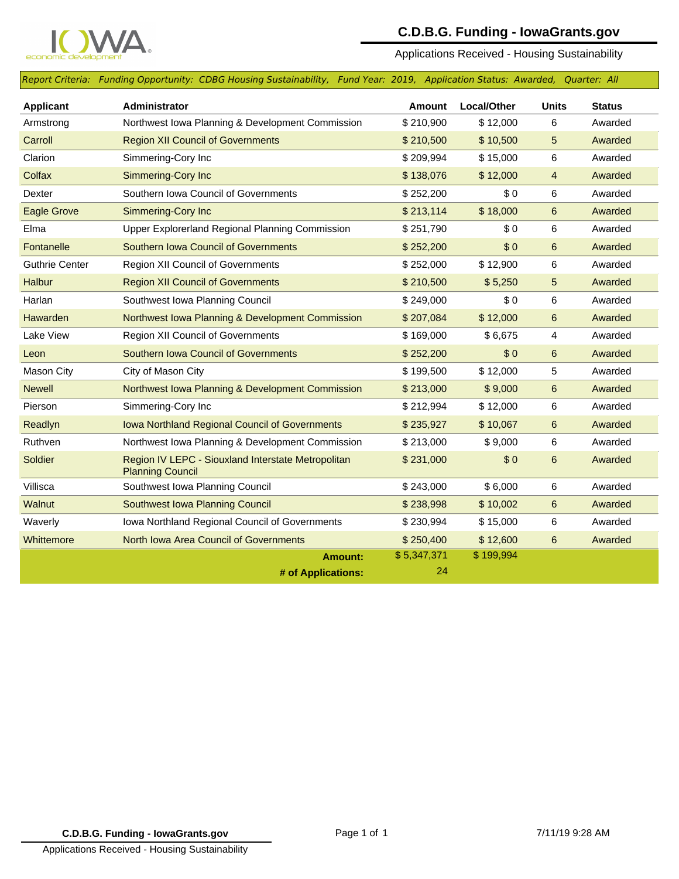

## **C.D.B.G. Funding - IowaGrants.gov**

Applications Received - Housing Sustainability

*Report Criteria: Funding Opportunity: CDBG Housing Sustainability, Fund Year: 2019, Application Status: Awarded, Quarter: All*

| <b>Applicant</b>      | Administrator                                                                 | Amount      | Local/Other | <b>Units</b> | <b>Status</b> |
|-----------------------|-------------------------------------------------------------------------------|-------------|-------------|--------------|---------------|
| Armstrong             | Northwest Iowa Planning & Development Commission                              | \$210,900   | \$12,000    | 6            | Awarded       |
| Carroll               | <b>Region XII Council of Governments</b>                                      | \$210,500   | \$10,500    | 5            | Awarded       |
| Clarion               | Simmering-Cory Inc                                                            | \$209,994   | \$15,000    | 6            | Awarded       |
| Colfax                | Simmering-Cory Inc                                                            | \$138,076   | \$12,000    | 4            | Awarded       |
| Dexter                | Southern Iowa Council of Governments                                          | \$252,200   | \$0         | 6            | Awarded       |
| <b>Eagle Grove</b>    | <b>Simmering-Cory Inc</b>                                                     | \$213,114   | \$18,000    | 6            | Awarded       |
| Elma                  | Upper Explorerland Regional Planning Commission                               | \$251,790   | \$0         | 6            | Awarded       |
| Fontanelle            | <b>Southern Iowa Council of Governments</b>                                   | \$252,200   | \$0         | 6            | Awarded       |
| <b>Guthrie Center</b> | Region XII Council of Governments                                             | \$252,000   | \$12,900    | 6            | Awarded       |
| <b>Halbur</b>         | <b>Region XII Council of Governments</b>                                      | \$210,500   | \$5,250     | 5            | Awarded       |
| Harlan                | Southwest Iowa Planning Council                                               | \$249,000   | \$0         | 6            | Awarded       |
| <b>Hawarden</b>       | Northwest Iowa Planning & Development Commission                              | \$207,084   | \$12,000    | 6            | Awarded       |
| Lake View             | Region XII Council of Governments                                             | \$169,000   | \$6,675     | 4            | Awarded       |
| Leon                  | <b>Southern Iowa Council of Governments</b>                                   | \$252,200   | \$0         | $\,6$        | Awarded       |
| <b>Mason City</b>     | City of Mason City                                                            | \$199,500   | \$12,000    | 5            | Awarded       |
| <b>Newell</b>         | Northwest Iowa Planning & Development Commission                              | \$213,000   | \$9,000     | 6            | Awarded       |
| Pierson               | Simmering-Cory Inc                                                            | \$212,994   | \$12,000    | 6            | Awarded       |
| Readlyn               | Iowa Northland Regional Council of Governments                                | \$235,927   | \$10,067    | 6            | Awarded       |
| Ruthven               | Northwest Iowa Planning & Development Commission                              | \$213,000   | \$9,000     | 6            | Awarded       |
| Soldier               | Region IV LEPC - Siouxland Interstate Metropolitan<br><b>Planning Council</b> | \$231,000   | \$0         | 6            | Awarded       |
| Villisca              | Southwest Iowa Planning Council                                               | \$243,000   | \$6,000     | 6            | Awarded       |
| Walnut                | Southwest Iowa Planning Council                                               | \$238,998   | \$10,002    | 6            | Awarded       |
| Waverly               | Iowa Northland Regional Council of Governments                                | \$230,994   | \$15,000    | 6            | Awarded       |
| Whittemore            | <b>North Iowa Area Council of Governments</b>                                 | \$250,400   | \$12,600    | 6            | Awarded       |
|                       | <b>Amount:</b>                                                                | \$5,347,371 | \$199,994   |              |               |
|                       | # of Applications:                                                            | 24          |             |              |               |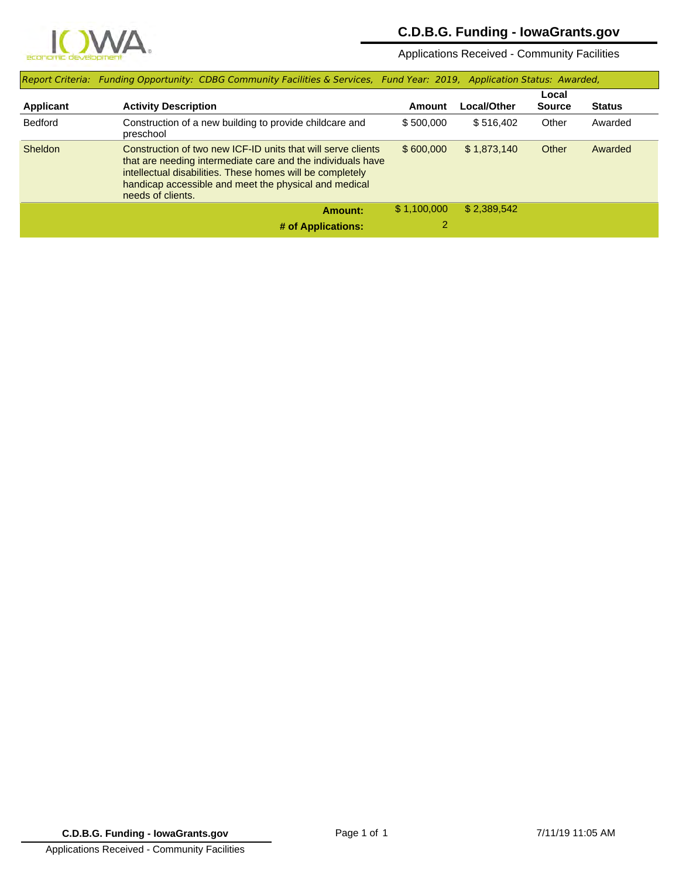

## **C.D.B.G. Funding - IowaGrants.gov**

Applications Received - Community Facilities

|                  | Report Criteria: Funding Opportunity: CDBG Community Facilities & Services, Fund Year: 2019, Application Status: Awarded,                                                                                                                                              |             |             |                        |               |
|------------------|------------------------------------------------------------------------------------------------------------------------------------------------------------------------------------------------------------------------------------------------------------------------|-------------|-------------|------------------------|---------------|
| <b>Applicant</b> | <b>Activity Description</b>                                                                                                                                                                                                                                            | Amount      | Local/Other | Local<br><b>Source</b> | <b>Status</b> |
| <b>Bedford</b>   | Construction of a new building to provide childcare and<br>preschool                                                                                                                                                                                                   | \$500,000   | \$516,402   | Other                  | Awarded       |
| <b>Sheldon</b>   | Construction of two new ICF-ID units that will serve clients<br>that are needing intermediate care and the individuals have<br>intellectual disabilities. These homes will be completely<br>handicap accessible and meet the physical and medical<br>needs of clients. | \$600.000   | \$1,873,140 | Other                  | Awarded       |
|                  | Amount:                                                                                                                                                                                                                                                                | \$1,100,000 | \$2.389.542 |                        |               |
|                  | # of Applications:                                                                                                                                                                                                                                                     |             |             |                        |               |